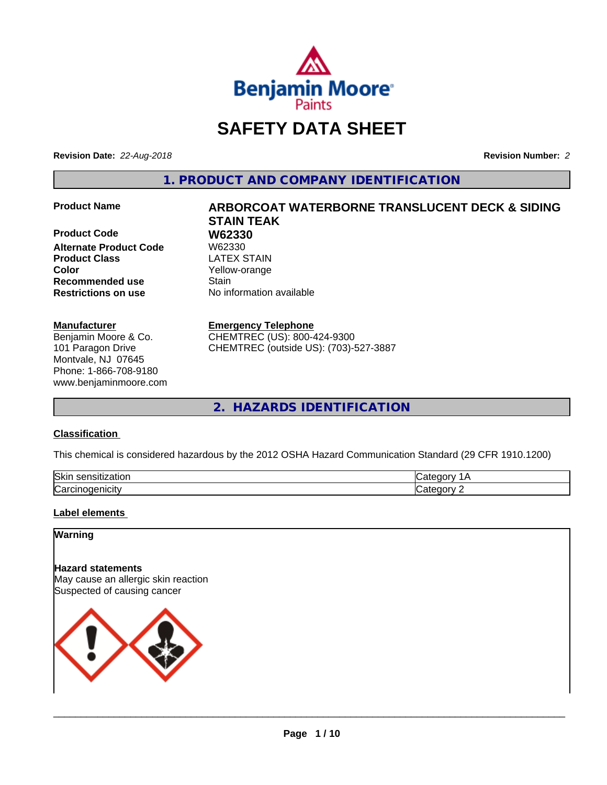

# **SAFETY DATA SHEET**

**Revision Date:** *22-Aug-2018* **Revision Number:** *2*

**1. PRODUCT AND COMPANY IDENTIFICATION**

**Product Code 68 W62330**<br>Alternate Product Code 68 W62330 **Alternate Product Code Product Class LATEX STAIN Color** Yellow-orange **Recommended use Stain Restrictions on use** No information available

#### **Manufacturer**

Benjamin Moore & Co. 101 Paragon Drive Montvale, NJ 07645 Phone: 1-866-708-9180 www.benjaminmoore.com

# **Product Name ARBORCOAT WATERBORNE TRANSLUCENT DECK & SIDING STAIN TEAK**

#### **Emergency Telephone**

CHEMTREC (US): 800-424-9300 CHEMTREC (outside US): (703)-527-3887

**2. HAZARDS IDENTIFICATION**

#### **Classification**

This chemical is considered hazardous by the 2012 OSHA Hazard Communication Standard (29 CFR 1910.1200)

| <b>Ski</b><br>uor<br>- 11 |  |
|---------------------------|--|
| ∽<br>. . аг               |  |

#### **Label elements**

#### **Warning**

**Hazard statements** May cause an allergic skin reaction Suspected of causing cancer

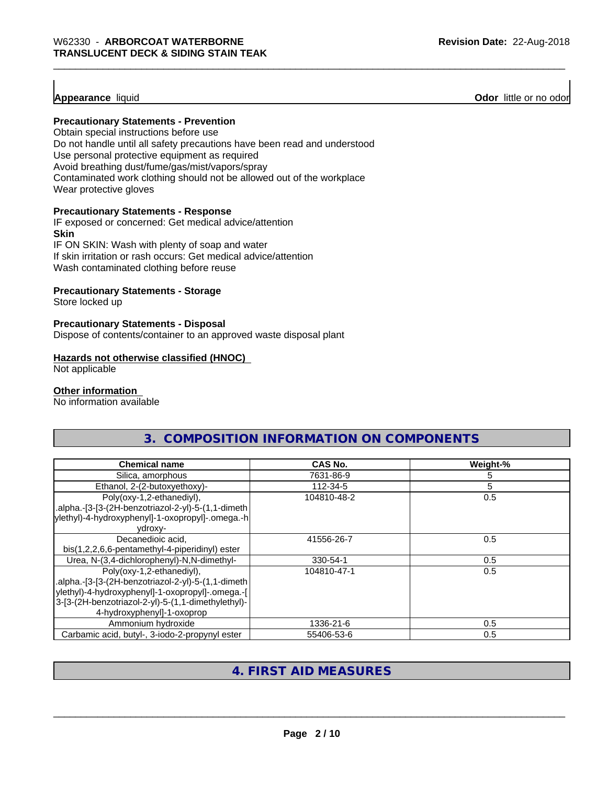#### **Appearance** liquid

**Odor** little or no odor

#### **Precautionary Statements - Prevention**

Obtain special instructions before use Do not handle until all safety precautions have been read and understood Use personal protective equipment as required Avoid breathing dust/fume/gas/mist/vapors/spray Contaminated work clothing should not be allowed out of the workplace Wear protective gloves

#### **Precautionary Statements - Response**

IF exposed or concerned: Get medical advice/attention **Skin** IF ON SKIN: Wash with plenty of soap and water

If skin irritation or rash occurs: Get medical advice/attention

Wash contaminated clothing before reuse

#### **Precautionary Statements - Storage**

Store locked up

#### **Precautionary Statements - Disposal**

Dispose of contents/container to an approved waste disposal plant

#### **Hazards not otherwise classified (HNOC)**

Not applicable

#### **Other information**

No information available

| <b>Chemical name</b>                                                                                                                                                                                                      | CAS No.     | Weight-% |
|---------------------------------------------------------------------------------------------------------------------------------------------------------------------------------------------------------------------------|-------------|----------|
| Silica, amorphous                                                                                                                                                                                                         | 7631-86-9   | 5        |
| Ethanol, 2-(2-butoxyethoxy)-                                                                                                                                                                                              | 112-34-5    | 5        |
| Poly(oxy-1,2-ethanediyl),<br>.alpha.-[3-[3-(2H-benzotriazol-2-yl)-5-(1,1-dimeth<br>ylethyl)-4-hydroxyphenyl]-1-oxopropyl]-.omega.-h<br>ydroxy-                                                                            | 104810-48-2 | 0.5      |
| Decanedioic acid,<br>bis(1,2,2,6,6-pentamethyl-4-piperidinyl) ester                                                                                                                                                       | 41556-26-7  | 0.5      |
| Urea, N-(3,4-dichlorophenyl)-N,N-dimethyl-                                                                                                                                                                                | 330-54-1    | 0.5      |
| Poly(oxy-1,2-ethanediyl),<br>.alpha.-[3-[3-(2H-benzotriazol-2-yl)-5-(1,1-dimeth  <br>ylethyl)-4-hydroxyphenyl]-1-oxopropyl]-.omega.-[<br>3-[3-(2H-benzotriazol-2-yl)-5-(1,1-dimethylethyl)-<br>4-hydroxyphenyl]-1-oxoprop | 104810-47-1 | 0.5      |
| Ammonium hydroxide                                                                                                                                                                                                        | 1336-21-6   | 0.5      |
| Carbamic acid, butyl-, 3-iodo-2-propynyl ester                                                                                                                                                                            | 55406-53-6  | 0.5      |

#### **4. FIRST AID MEASURES**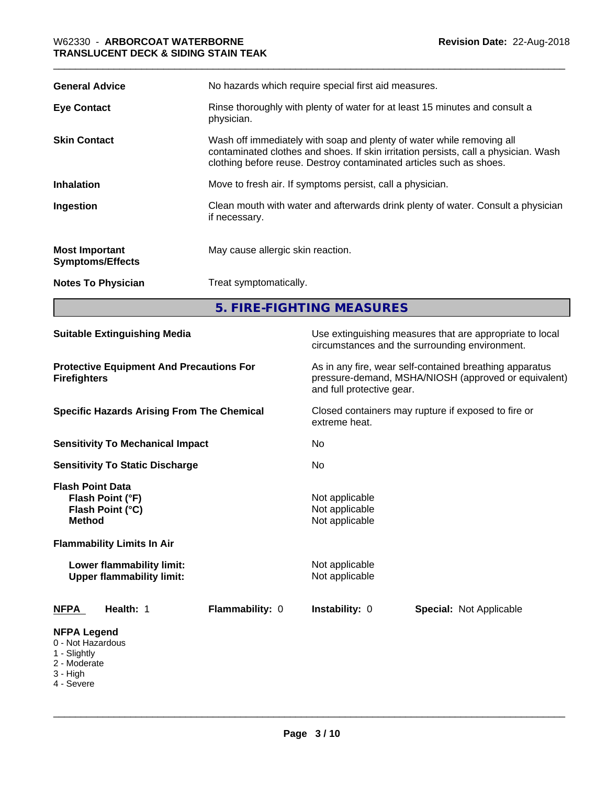| <b>General Advice</b>                            | No hazards which require special first aid measures.                                                                                                                                                                                |  |
|--------------------------------------------------|-------------------------------------------------------------------------------------------------------------------------------------------------------------------------------------------------------------------------------------|--|
| <b>Eye Contact</b>                               | Rinse thoroughly with plenty of water for at least 15 minutes and consult a<br>physician.                                                                                                                                           |  |
| <b>Skin Contact</b>                              | Wash off immediately with soap and plenty of water while removing all<br>contaminated clothes and shoes. If skin irritation persists, call a physician. Wash<br>clothing before reuse. Destroy contaminated articles such as shoes. |  |
| <b>Inhalation</b>                                | Move to fresh air. If symptoms persist, call a physician.                                                                                                                                                                           |  |
| Ingestion                                        | Clean mouth with water and afterwards drink plenty of water. Consult a physician<br>if necessary.                                                                                                                                   |  |
| <b>Most Important</b><br><b>Symptoms/Effects</b> | May cause allergic skin reaction.                                                                                                                                                                                                   |  |
| <b>Notes To Physician</b>                        | Treat symptomatically.                                                                                                                                                                                                              |  |
|                                                  | 5. FIRE-FIGHTING MEASURES                                                                                                                                                                                                           |  |

| <b>Suitable Extinguishing Media</b><br><b>Protective Equipment And Precautions For</b><br><b>Firefighters</b><br><b>Specific Hazards Arising From The Chemical</b><br><b>Sensitivity To Mechanical Impact</b><br><b>Sensitivity To Static Discharge</b> |  | Use extinguishing measures that are appropriate to local<br>circumstances and the surrounding environment.<br>As in any fire, wear self-contained breathing apparatus<br>pressure-demand, MSHA/NIOSH (approved or equivalent)<br>and full protective gear.<br>Closed containers may rupture if exposed to fire or<br>extreme heat.<br>No.<br>No |  |  |                                                                                                                                                                                        |                 |                                                                                        |                                |
|---------------------------------------------------------------------------------------------------------------------------------------------------------------------------------------------------------------------------------------------------------|--|-------------------------------------------------------------------------------------------------------------------------------------------------------------------------------------------------------------------------------------------------------------------------------------------------------------------------------------------------|--|--|----------------------------------------------------------------------------------------------------------------------------------------------------------------------------------------|-----------------|----------------------------------------------------------------------------------------|--------------------------------|
|                                                                                                                                                                                                                                                         |  |                                                                                                                                                                                                                                                                                                                                                 |  |  | <b>Flash Point Data</b><br>Flash Point (°F)<br>Flash Point (°C)<br><b>Method</b><br><b>Flammability Limits In Air</b><br>Lower flammability limit:<br><b>Upper flammability limit:</b> |                 | Not applicable<br>Not applicable<br>Not applicable<br>Not applicable<br>Not applicable |                                |
|                                                                                                                                                                                                                                                         |  |                                                                                                                                                                                                                                                                                                                                                 |  |  | Health: 1<br><b>NFPA</b>                                                                                                                                                               | Flammability: 0 | Instability: 0                                                                         | <b>Special: Not Applicable</b> |
|                                                                                                                                                                                                                                                         |  |                                                                                                                                                                                                                                                                                                                                                 |  |  | <b>NFPA Legend</b><br>0 - Not Hazardous<br>1 - Slightly<br>2 - Moderate<br>3 - High<br>4 - Severe                                                                                      |                 |                                                                                        |                                |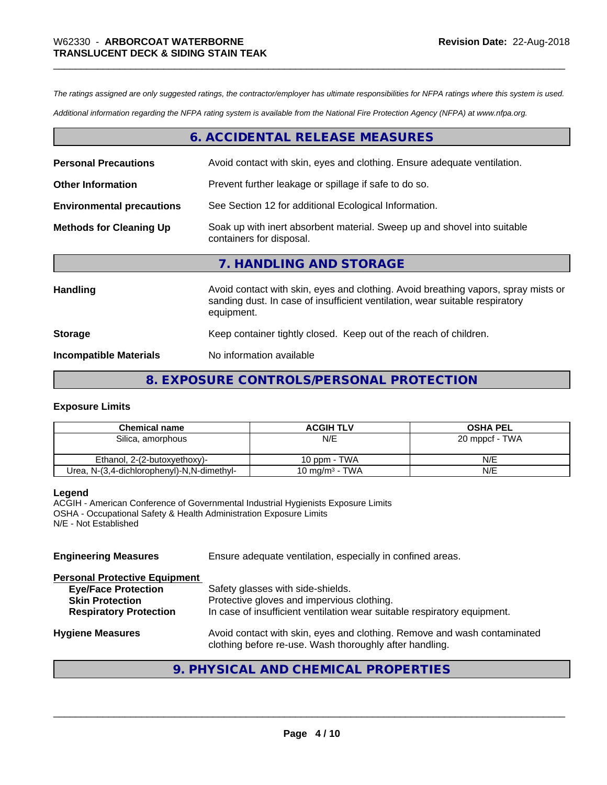*The ratings assigned are only suggested ratings, the contractor/employer has ultimate responsibilities for NFPA ratings where this system is used.*

*Additional information regarding the NFPA rating system is available from the National Fire Protection Agency (NFPA) at www.nfpa.org.*

#### **6. ACCIDENTAL RELEASE MEASURES**

| <b>Personal Precautions</b>      | Avoid contact with skin, eyes and clothing. Ensure adequate ventilation.                                                                                                         |  |
|----------------------------------|----------------------------------------------------------------------------------------------------------------------------------------------------------------------------------|--|
| <b>Other Information</b>         | Prevent further leakage or spillage if safe to do so.                                                                                                                            |  |
| <b>Environmental precautions</b> | See Section 12 for additional Ecological Information.                                                                                                                            |  |
| <b>Methods for Cleaning Up</b>   | Soak up with inert absorbent material. Sweep up and shovel into suitable<br>containers for disposal.                                                                             |  |
|                                  | 7. HANDLING AND STORAGE                                                                                                                                                          |  |
| Handling                         | Avoid contact with skin, eyes and clothing. Avoid breathing vapors, spray mists or<br>sanding dust. In case of insufficient ventilation, wear suitable respiratory<br>equipment. |  |
| <b>Storage</b>                   | Keep container tightly closed. Keep out of the reach of children.                                                                                                                |  |
| <b>Incompatible Materials</b>    | No information available                                                                                                                                                         |  |

#### **8. EXPOSURE CONTROLS/PERSONAL PROTECTION**

#### **Exposure Limits**

| <b>Chemical name</b>                       | <b>ACGIH TLV</b>           | <b>OSHA PEL</b> |
|--------------------------------------------|----------------------------|-----------------|
| Silica, amorphous                          | N/E                        | 20 mppcf - TWA  |
|                                            |                            |                 |
| Ethanol, 2-(2-butoxyethoxy)-               | 10 ppm - TWA               | N/E             |
| Urea, N-(3,4-dichlorophenyl)-N,N-dimethyl- | 10 mg/m <sup>3</sup> - TWA | N/E             |

#### **Legend**

ACGIH - American Conference of Governmental Industrial Hygienists Exposure Limits OSHA - Occupational Safety & Health Administration Exposure Limits N/E - Not Established

| <b>Engineering Measures</b>                                                                                                   | Ensure adequate ventilation, especially in confined areas.                                                                                                  |  |
|-------------------------------------------------------------------------------------------------------------------------------|-------------------------------------------------------------------------------------------------------------------------------------------------------------|--|
| <b>Personal Protective Equipment</b><br><b>Eye/Face Protection</b><br><b>Skin Protection</b><br><b>Respiratory Protection</b> | Safety glasses with side-shields.<br>Protective gloves and impervious clothing.<br>In case of insufficient ventilation wear suitable respiratory equipment. |  |
| <b>Hygiene Measures</b>                                                                                                       | Avoid contact with skin, eyes and clothing. Remove and wash contaminated<br>clothing before re-use. Wash thoroughly after handling.                         |  |

## **9. PHYSICAL AND CHEMICAL PROPERTIES**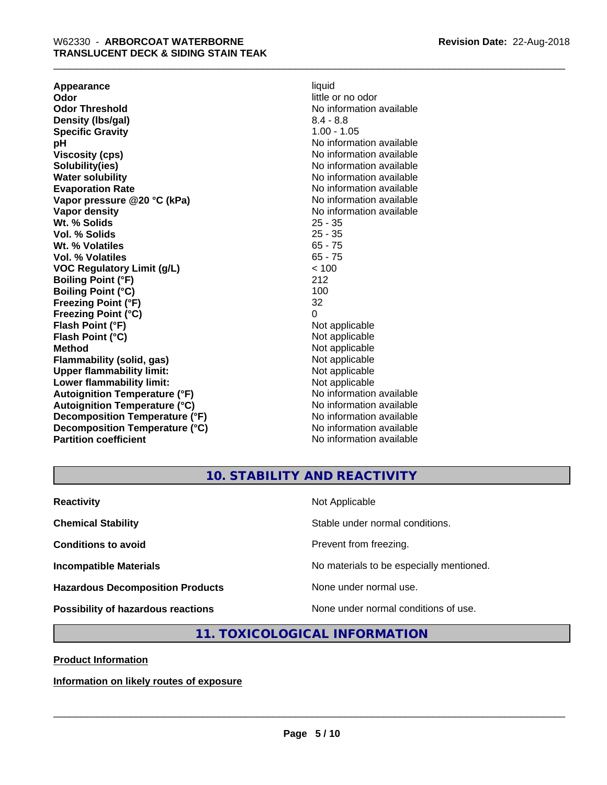**Appearance** liquid **and a limitation of the contract of the contract of the contract of the contract of the contract of the contract of the contract of the contract of the contract of the contract of the contract of the c Odor Threshold** No information available **Density (Ibs/gal)** 8.4 - 8.8<br> **Specific Gravity** 8.4 - 8.8 **Specific Gravity pH pH**  $\blacksquare$ **Viscosity (cps)** No information available in the Viscosity (cps) **Solubility(ies)** No information available **Water solubility** No information available **Evaporation Rate No information available No information available Vapor pressure @20 °C (kPa)** No information available **Vapor density No information available No** information available **Wt. % Solids** 25 - 35 **Vol. % Solids** 25 - 35 Wt. % Volatiles **Vol. % Volatiles** 65 - 75 **VOC Regulatory Limit (g/L)** < 100 **Boiling Point (°F)** 212 **Boiling Point (°C)** 100<br> **Preezing Point (°F)** 32 **Freezing Point (°F) Freezing Point (°C)** 0 **Flash Point (°F)** Not applicable **Flash Point (°C)** Not applicable **Method**<br> **Flammability (solid, gas)**<br> **Commability (solid, gas)**<br>
Mot applicable **Flammability (solid, gas)**<br> **Upper flammability limit:**<br>
Upper flammability limit:<br>  $\begin{array}{ccc}\n\bullet & \bullet & \bullet \\
\bullet & \bullet & \bullet\n\end{array}$ **Upper flammability limit:**<br> **Lower flammability limit:**<br>
Not applicable<br>
Not applicable **Lower flammability limit:**<br> **Autoianition Temperature (°F)** Not applicable Not applicable not a Not applicable **Autoignition Temperature (°F) Autoignition Temperature (°C)** No information available **Decomposition Temperature (°F)** No information available **Decomposition Temperature (°C)** No information available **Partition coefficient** No information available

little or no odor

**10. STABILITY AND REACTIVITY**

| <b>Reactivity</b>                         | Not Applicable                           |
|-------------------------------------------|------------------------------------------|
| <b>Chemical Stability</b>                 | Stable under normal conditions.          |
| <b>Conditions to avoid</b>                | Prevent from freezing.                   |
| <b>Incompatible Materials</b>             | No materials to be especially mentioned. |
| <b>Hazardous Decomposition Products</b>   | None under normal use.                   |
| <b>Possibility of hazardous reactions</b> | None under normal conditions of use.     |

## **11. TOXICOLOGICAL INFORMATION**

**Product Information**

**Information on likely routes of exposure**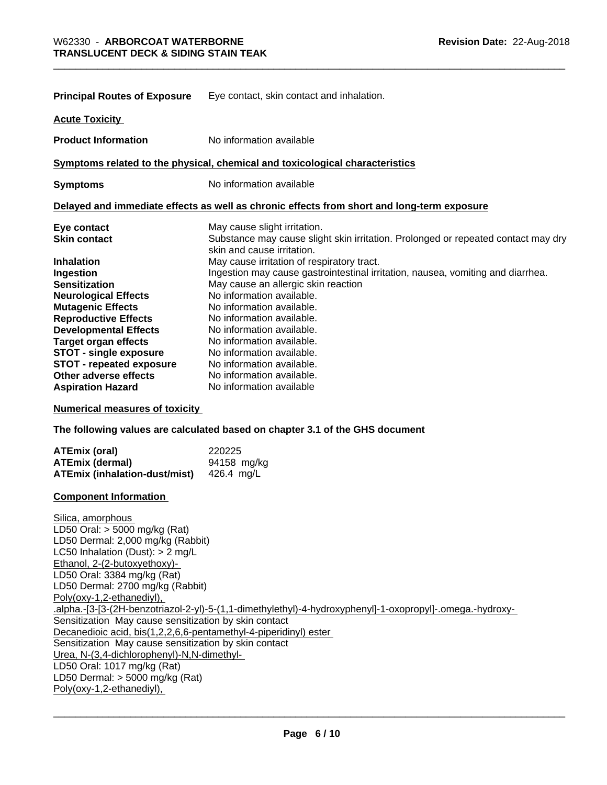| <b>Principal Routes of Exposure</b> | Eye contact, skin contact and inhalation.                                                                       |  |  |
|-------------------------------------|-----------------------------------------------------------------------------------------------------------------|--|--|
| <b>Acute Toxicity</b>               |                                                                                                                 |  |  |
| <b>Product Information</b>          | No information available                                                                                        |  |  |
|                                     | Symptoms related to the physical, chemical and toxicological characteristics                                    |  |  |
| <b>Symptoms</b>                     | No information available                                                                                        |  |  |
|                                     | Delayed and immediate effects as well as chronic effects from short and long-term exposure                      |  |  |
| Eye contact                         | May cause slight irritation.                                                                                    |  |  |
| <b>Skin contact</b>                 | Substance may cause slight skin irritation. Prolonged or repeated contact may dry<br>skin and cause irritation. |  |  |
| <b>Inhalation</b>                   | May cause irritation of respiratory tract.                                                                      |  |  |
| Ingestion                           | Ingestion may cause gastrointestinal irritation, nausea, vomiting and diarrhea.                                 |  |  |
| <b>Sensitization</b>                | May cause an allergic skin reaction                                                                             |  |  |
| <b>Neurological Effects</b>         | No information available.                                                                                       |  |  |
| <b>Mutagenic Effects</b>            | No information available.                                                                                       |  |  |
| <b>Reproductive Effects</b>         | No information available.                                                                                       |  |  |
| <b>Developmental Effects</b>        | No information available.                                                                                       |  |  |
| <b>Target organ effects</b>         | No information available.                                                                                       |  |  |
| <b>STOT - single exposure</b>       | No information available.                                                                                       |  |  |
| <b>STOT - repeated exposure</b>     | No information available.                                                                                       |  |  |
| Other adverse effects               | No information available.                                                                                       |  |  |
| <b>Aspiration Hazard</b>            | No information available                                                                                        |  |  |

**Numerical measures of toxicity**

**The following values are calculated based on chapter 3.1 of the GHS document**

| ATEmix (oral)                        | 220225      |
|--------------------------------------|-------------|
| ATEmix (dermal)                      | 94158 mg/kg |
| <b>ATEmix (inhalation-dust/mist)</b> | 426.4 ma/L  |

#### **Component Information**

Silica, amorphous LD50 Oral: > 5000 mg/kg (Rat) LD50 Dermal: 2,000 mg/kg (Rabbit) LC50 Inhalation (Dust): > 2 mg/L Ethanol, 2-(2-butoxyethoxy)- LD50 Oral: 3384 mg/kg (Rat) LD50 Dermal: 2700 mg/kg (Rabbit) Poly(oxy-1,2-ethanediyl), .alpha.-[3-[3-(2H-benzotriazol-2-yl)-5-(1,1-dimethylethyl)-4-hydroxyphenyl]-1-oxopropyl]-.omega.-hydroxy- Sensitization May cause sensitization by skin contact Decanedioic acid, bis(1,2,2,6,6-pentamethyl-4-piperidinyl) ester Sensitization May cause sensitization by skin contact Urea, N-(3,4-dichlorophenyl)-N,N-dimethyl- LD50 Oral: 1017 mg/kg (Rat) LD50 Dermal: > 5000 mg/kg (Rat) Poly(oxy-1,2-ethanediyl),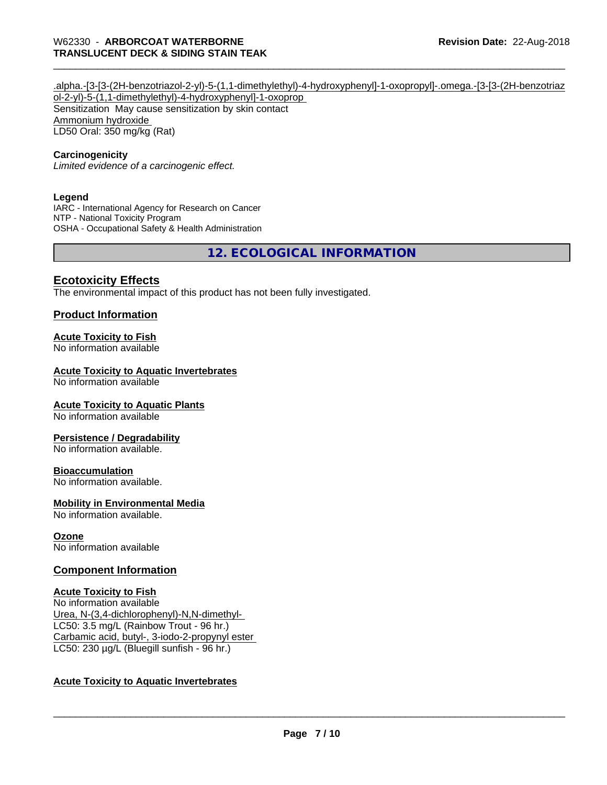#### .alpha.-[3-[3-(2H-benzotriazol-2-yl)-5-(1,1-dimethylethyl)-4-hydroxyphenyl]-1-oxopropyl]-.omega.-[3-[3-(2H-benzotriaz ol-2-yl)-5-(1,1-dimethylethyl)-4-hydroxyphenyl]-1-oxoprop Sensitization May cause sensitization by skin contact Ammonium hydroxide LD50 Oral: 350 mg/kg (Rat)

#### **Carcinogenicity**

*Limited evidence of a carcinogenic effect.*

#### **Legend**

IARC - International Agency for Research on Cancer NTP - National Toxicity Program OSHA - Occupational Safety & Health Administration

**12. ECOLOGICAL INFORMATION**

#### **Ecotoxicity Effects**

The environmental impact of this product has not been fully investigated.

#### **Product Information**

#### **Acute Toxicity to Fish**

No information available

#### **Acute Toxicity to Aquatic Invertebrates**

No information available

#### **Acute Toxicity to Aquatic Plants**

No information available

#### **Persistence / Degradability**

No information available.

#### **Bioaccumulation**

No information available.

#### **Mobility in Environmental Media**

No information available.

#### **Ozone**

No information available

#### **Component Information**

**Acute Toxicity to Fish** No information available Urea, N-(3,4-dichlorophenyl)-N,N-dimethyl- LC50: 3.5 mg/L (Rainbow Trout - 96 hr.) Carbamic acid, butyl-, 3-iodo-2-propynyl ester LC50: 230 µg/L (Bluegill sunfish - 96 hr.)

#### **Acute Toxicity to Aquatic Invertebrates**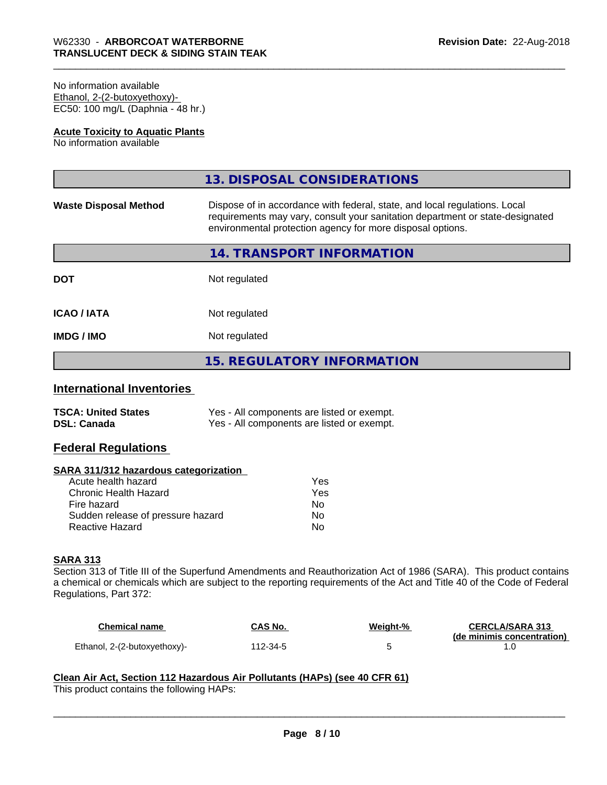#### No information available Ethanol, 2-(2-butoxyethoxy)- EC50: 100 mg/L (Daphnia - 48 hr.)

#### **Acute Toxicity to Aquatic Plants**

No information available

|                              | 13. DISPOSAL CONSIDERATIONS                                                                                                                                                                                               |
|------------------------------|---------------------------------------------------------------------------------------------------------------------------------------------------------------------------------------------------------------------------|
| <b>Waste Disposal Method</b> | Dispose of in accordance with federal, state, and local regulations. Local<br>requirements may vary, consult your sanitation department or state-designated<br>environmental protection agency for more disposal options. |
|                              | 14. TRANSPORT INFORMATION                                                                                                                                                                                                 |
| <b>DOT</b>                   | Not regulated                                                                                                                                                                                                             |
| <b>ICAO/IATA</b>             | Not regulated                                                                                                                                                                                                             |
| <b>IMDG/IMO</b>              | Not regulated                                                                                                                                                                                                             |
|                              | <b>15. REGULATORY INFORMATION</b>                                                                                                                                                                                         |
|                              |                                                                                                                                                                                                                           |

#### **International Inventories**

| <b>TSCA: United States</b> | Yes - All components are listed or exempt. |
|----------------------------|--------------------------------------------|
| <b>DSL: Canada</b>         | Yes - All components are listed or exempt. |

#### **Federal Regulations**

#### **SARA 311/312 hazardous categorization**

| Acute health hazard               | Yes |
|-----------------------------------|-----|
| Chronic Health Hazard             | Yes |
| Fire hazard                       | Nο  |
| Sudden release of pressure hazard | Nο  |
| Reactive Hazard                   | N٥  |

#### **SARA 313**

Section 313 of Title III of the Superfund Amendments and Reauthorization Act of 1986 (SARA). This product contains a chemical or chemicals which are subject to the reporting requirements of the Act and Title 40 of the Code of Federal Regulations, Part 372:

| Chemical name                | <b>CAS No.</b> | Weight-% | <b>CERCLA/SARA 313</b>     |
|------------------------------|----------------|----------|----------------------------|
|                              |                |          | (de minimis concentration) |
| Ethanol, 2-(2-butoxyethoxy)- | 112-34-5       |          |                            |

 $\overline{\phantom{a}}$  ,  $\overline{\phantom{a}}$  ,  $\overline{\phantom{a}}$  ,  $\overline{\phantom{a}}$  ,  $\overline{\phantom{a}}$  ,  $\overline{\phantom{a}}$  ,  $\overline{\phantom{a}}$  ,  $\overline{\phantom{a}}$  ,  $\overline{\phantom{a}}$  ,  $\overline{\phantom{a}}$  ,  $\overline{\phantom{a}}$  ,  $\overline{\phantom{a}}$  ,  $\overline{\phantom{a}}$  ,  $\overline{\phantom{a}}$  ,  $\overline{\phantom{a}}$  ,  $\overline{\phantom{a}}$ 

## **Clean Air Act,Section 112 Hazardous Air Pollutants (HAPs) (see 40 CFR 61)**

This product contains the following HAPs: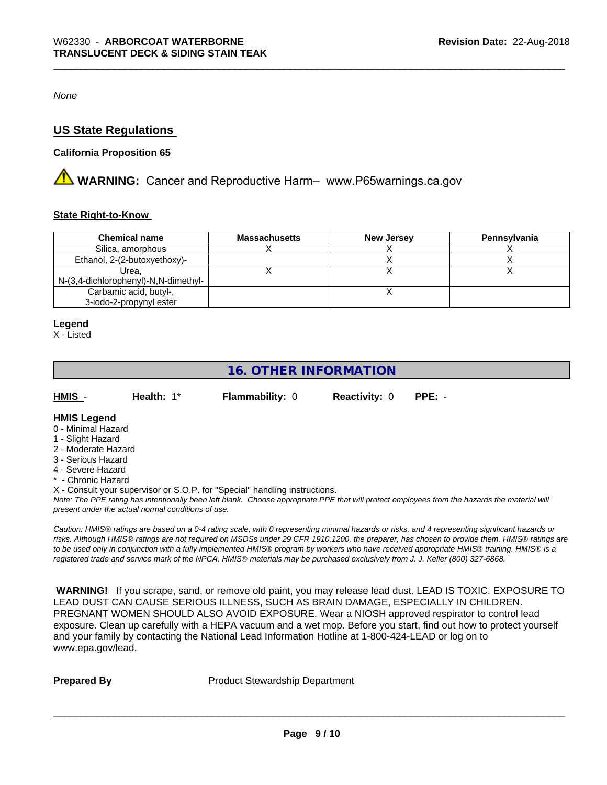*None*

#### **US State Regulations**

#### **California Proposition 65**

**A WARNING:** Cancer and Reproductive Harm– www.P65warnings.ca.gov

#### **State Right-to-Know**

| <b>Chemical name</b>                 | <b>Massachusetts</b> | <b>New Jersey</b> | Pennsylvania |
|--------------------------------------|----------------------|-------------------|--------------|
| Silica, amorphous                    |                      |                   |              |
| Ethanol, 2-(2-butoxyethoxy)-         |                      |                   |              |
| Urea.                                |                      |                   |              |
| N-(3,4-dichlorophenyl)-N,N-dimethyl- |                      |                   |              |
| Carbamic acid, butyl-,               |                      |                   |              |
| 3-iodo-2-propynyl ester              |                      |                   |              |

#### **Legend**

X - Listed

## **16. OTHER INFORMATION**

| HMIS | Health: 1* | <b>Flammability: 0</b> | <b>Reactivity: 0 PPE: -</b> |  |
|------|------------|------------------------|-----------------------------|--|
|      |            |                        |                             |  |

#### **HMIS Legend**

- 0 Minimal Hazard
- 1 Slight Hazard
- 2 Moderate Hazard
- 3 Serious Hazard
- 4 Severe Hazard
- \* Chronic Hazard

X - Consult your supervisor or S.O.P. for "Special" handling instructions.

*Note: The PPE rating has intentionally been left blank. Choose appropriate PPE that will protect employees from the hazards the material will present under the actual normal conditions of use.*

*Caution: HMISÒ ratings are based on a 0-4 rating scale, with 0 representing minimal hazards or risks, and 4 representing significant hazards or risks. Although HMISÒ ratings are not required on MSDSs under 29 CFR 1910.1200, the preparer, has chosen to provide them. HMISÒ ratings are to be used only in conjunction with a fully implemented HMISÒ program by workers who have received appropriate HMISÒ training. HMISÒ is a registered trade and service mark of the NPCA. HMISÒ materials may be purchased exclusively from J. J. Keller (800) 327-6868.*

 **WARNING!** If you scrape, sand, or remove old paint, you may release lead dust. LEAD IS TOXIC. EXPOSURE TO LEAD DUST CAN CAUSE SERIOUS ILLNESS, SUCH AS BRAIN DAMAGE, ESPECIALLY IN CHILDREN. PREGNANT WOMEN SHOULD ALSO AVOID EXPOSURE.Wear a NIOSH approved respirator to control lead exposure. Clean up carefully with a HEPA vacuum and a wet mop. Before you start, find out how to protect yourself and your family by contacting the National Lead Information Hotline at 1-800-424-LEAD or log on to www.epa.gov/lead.

**Prepared By** Product Stewardship Department